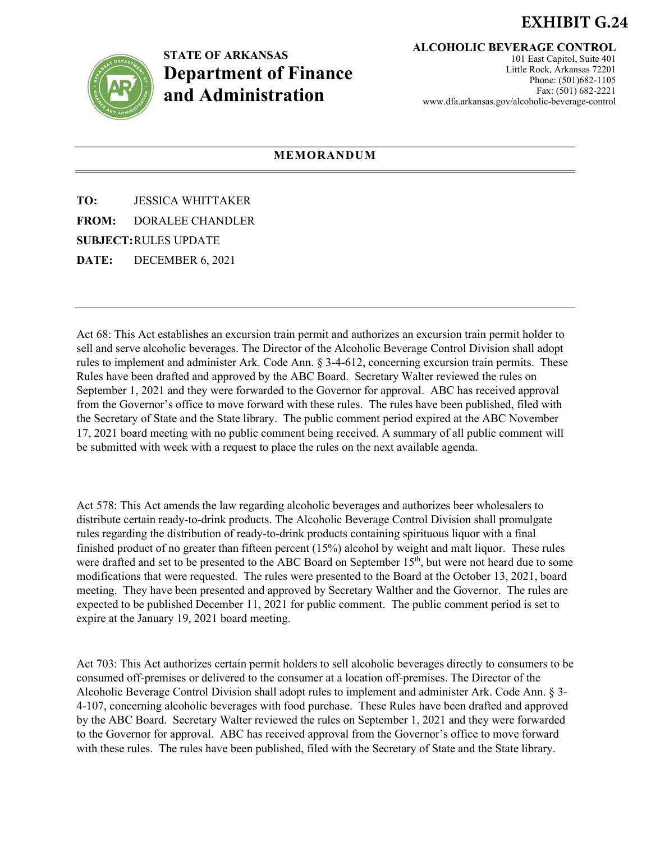## **EXHIBIT G.24**



## **STATE OF ARKANSAS Department of Finance and Administration**

**ALCOHOLIC BEVERAGE CONTROL**

101 East Capitol, Suite 401 Little Rock, Arkansas 72201 Phone: (501)682-1105 Fax: (501) 682-2221 www.dfa.arkansas.gov/alcoholic-beverage-control

## **MEMORANDUM**

**TO:** JESSICA WHITTAKER **FROM:** DORALEE CHANDLER **SUBJECT:**RULES UPDATE

**DATE:** DECEMBER 6, 2021

Act 68: This Act establishes an excursion train permit and authorizes an excursion train permit holder to sell and serve alcoholic beverages. The Director of the Alcoholic Beverage Control Division shall adopt rules to implement and administer Ark. Code Ann. § 3-4-612, concerning excursion train permits. These Rules have been drafted and approved by the ABC Board. Secretary Walter reviewed the rules on September 1, 2021 and they were forwarded to the Governor for approval. ABC has received approval from the Governor's office to move forward with these rules. The rules have been published, filed with the Secretary of State and the State library. The public comment period expired at the ABC November 17, 2021 board meeting with no public comment being received. A summary of all public comment will be submitted with week with a request to place the rules on the next available agenda.

Act 578: This Act amends the law regarding alcoholic beverages and authorizes beer wholesalers to distribute certain ready-to-drink products. The Alcoholic Beverage Control Division shall promulgate rules regarding the distribution of ready-to-drink products containing spirituous liquor with a final finished product of no greater than fifteen percent (15%) alcohol by weight and malt liquor. These rules were drafted and set to be presented to the ABC Board on September 15<sup>th</sup>, but were not heard due to some modifications that were requested. The rules were presented to the Board at the October 13, 2021, board meeting. They have been presented and approved by Secretary Walther and the Governor. The rules are expected to be published December 11, 2021 for public comment. The public comment period is set to expire at the January 19, 2021 board meeting.

Act 703: This Act authorizes certain permit holders to sell alcoholic beverages directly to consumers to be consumed off-premises or delivered to the consumer at a location off-premises. The Director of the Alcoholic Beverage Control Division shall adopt rules to implement and administer Ark. Code Ann. § 3- 4-107, concerning alcoholic beverages with food purchase. These Rules have been drafted and approved by the ABC Board. Secretary Walter reviewed the rules on September 1, 2021 and they were forwarded to the Governor for approval. ABC has received approval from the Governor's office to move forward with these rules. The rules have been published, filed with the Secretary of State and the State library.